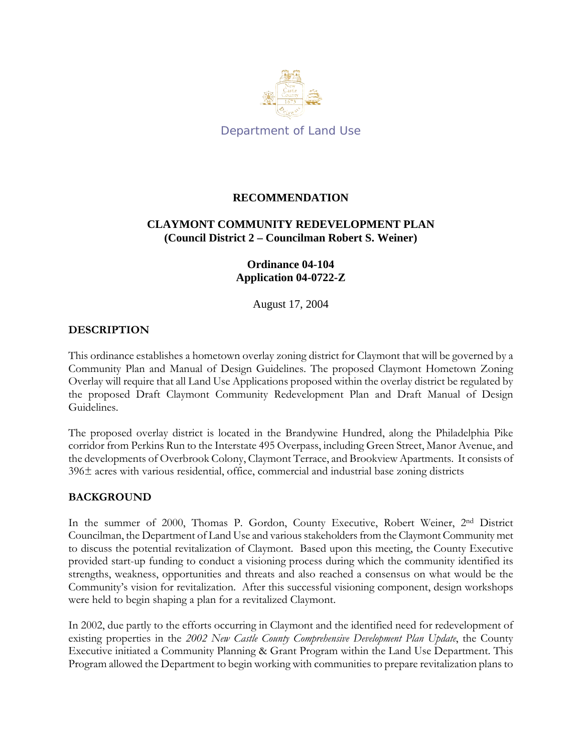

#### **RECOMMENDATION**

#### **CLAYMONT COMMUNITY REDEVELOPMENT PLAN (Council District 2 – Councilman Robert S. Weiner)**

**Ordinance 04-104 Application 04-0722-Z** 

August 17, 2004

#### **DESCRIPTION**

This ordinance establishes a hometown overlay zoning district for Claymont that will be governed by a Community Plan and Manual of Design Guidelines. The proposed Claymont Hometown Zoning Overlay will require that all Land Use Applications proposed within the overlay district be regulated by the proposed Draft Claymont Community Redevelopment Plan and Draft Manual of Design Guidelines.

The proposed overlay district is located in the Brandywine Hundred, along the Philadelphia Pike corridor from Perkins Run to the Interstate 495 Overpass, including Green Street, Manor Avenue, and the developments of Overbrook Colony, Claymont Terrace, and Brookview Apartments. It consists of 396± acres with various residential, office, commercial and industrial base zoning districts

#### **BACKGROUND**

In the summer of 2000, Thomas P. Gordon, County Executive, Robert Weiner, 2nd District Councilman, the Department of Land Use and various stakeholders from the Claymont Community met to discuss the potential revitalization of Claymont. Based upon this meeting, the County Executive provided start-up funding to conduct a visioning process during which the community identified its strengths, weakness, opportunities and threats and also reached a consensus on what would be the Community's vision for revitalization. After this successful visioning component, design workshops were held to begin shaping a plan for a revitalized Claymont.

In 2002, due partly to the efforts occurring in Claymont and the identified need for redevelopment of existing properties in the *2002 New Castle County Comprehensive Development Plan Update*, the County Executive initiated a Community Planning & Grant Program within the Land Use Department. This Program allowed the Department to begin working with communities to prepare revitalization plans to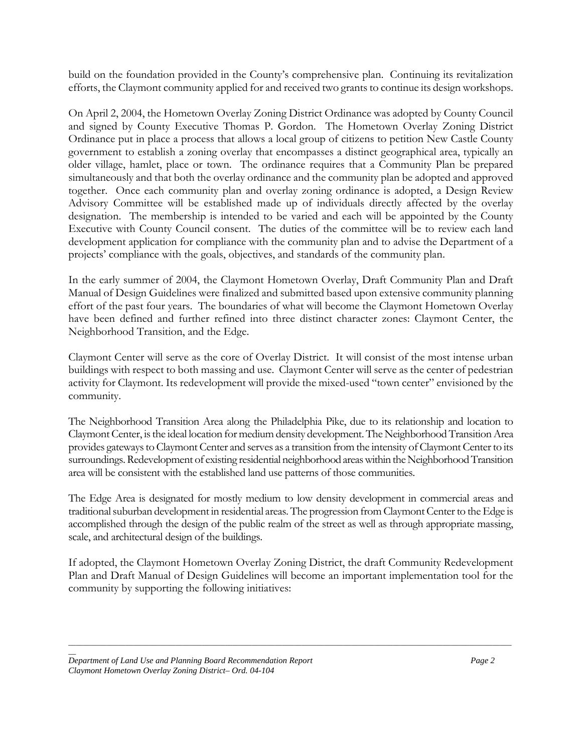build on the foundation provided in the County's comprehensive plan. Continuing its revitalization efforts, the Claymont community applied for and received two grants to continue its design workshops.

On April 2, 2004, the Hometown Overlay Zoning District Ordinance was adopted by County Council and signed by County Executive Thomas P. Gordon. The Hometown Overlay Zoning District Ordinance put in place a process that allows a local group of citizens to petition New Castle County government to establish a zoning overlay that encompasses a distinct geographical area, typically an older village, hamlet, place or town. The ordinance requires that a Community Plan be prepared simultaneously and that both the overlay ordinance and the community plan be adopted and approved together. Once each community plan and overlay zoning ordinance is adopted, a Design Review Advisory Committee will be established made up of individuals directly affected by the overlay designation. The membership is intended to be varied and each will be appointed by the County Executive with County Council consent. The duties of the committee will be to review each land development application for compliance with the community plan and to advise the Department of a projects' compliance with the goals, objectives, and standards of the community plan.

In the early summer of 2004, the Claymont Hometown Overlay, Draft Community Plan and Draft Manual of Design Guidelines were finalized and submitted based upon extensive community planning effort of the past four years. The boundaries of what will become the Claymont Hometown Overlay have been defined and further refined into three distinct character zones: Claymont Center, the Neighborhood Transition, and the Edge.

Claymont Center will serve as the core of Overlay District. It will consist of the most intense urban buildings with respect to both massing and use. Claymont Center will serve as the center of pedestrian activity for Claymont. Its redevelopment will provide the mixed-used "town center" envisioned by the community.

The Neighborhood Transition Area along the Philadelphia Pike, due to its relationship and location to Claymont Center, is the ideal location for medium density development. The Neighborhood Transition Area provides gateways to Claymont Center and serves as a transition from the intensity of Claymont Center to its surroundings. Redevelopment of existing residential neighborhood areas within the Neighborhood Transition area will be consistent with the established land use patterns of those communities.

The Edge Area is designated for mostly medium to low density development in commercial areas and traditional suburban development in residential areas. The progression from Claymont Center to the Edge is accomplished through the design of the public realm of the street as well as through appropriate massing, scale, and architectural design of the buildings.

If adopted, the Claymont Hometown Overlay Zoning District, the draft Community Redevelopment Plan and Draft Manual of Design Guidelines will become an important implementation tool for the community by supporting the following initiatives:

 $\overline{a}$ *Department of Land Use and Planning Board Recommendation Report Page 2 Claymont Hometown Overlay Zoning District– Ord. 04-104*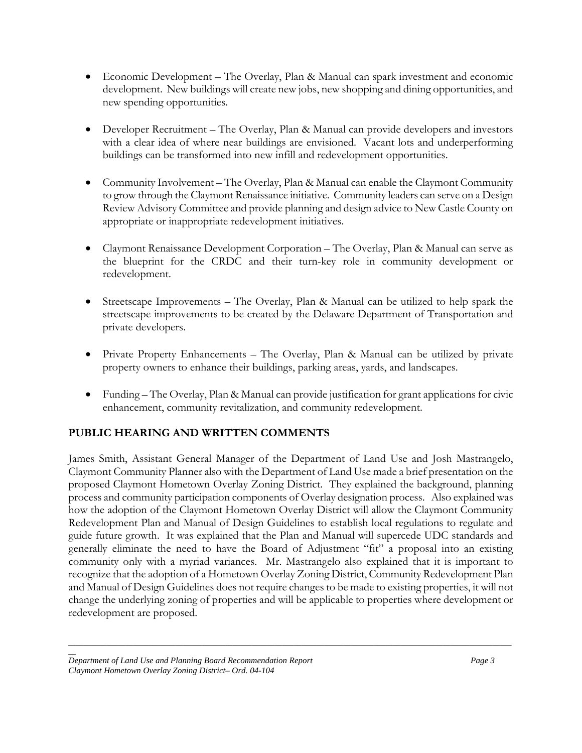- Economic Development The Overlay, Plan & Manual can spark investment and economic development. New buildings will create new jobs, new shopping and dining opportunities, and new spending opportunities.
- Developer Recruitment The Overlay, Plan & Manual can provide developers and investors with a clear idea of where near buildings are envisioned. Vacant lots and underperforming buildings can be transformed into new infill and redevelopment opportunities.
- Community Involvement The Overlay, Plan & Manual can enable the Claymont Community to grow through the Claymont Renaissance initiative. Community leaders can serve on a Design Review Advisory Committee and provide planning and design advice to New Castle County on appropriate or inappropriate redevelopment initiatives.
- Claymont Renaissance Development Corporation The Overlay, Plan & Manual can serve as the blueprint for the CRDC and their turn-key role in community development or redevelopment.
- Streetscape Improvements The Overlay, Plan & Manual can be utilized to help spark the streetscape improvements to be created by the Delaware Department of Transportation and private developers.
- Private Property Enhancements The Overlay, Plan & Manual can be utilized by private property owners to enhance their buildings, parking areas, yards, and landscapes.
- Funding The Overlay, Plan & Manual can provide justification for grant applications for civic enhancement, community revitalization, and community redevelopment.

# **PUBLIC HEARING AND WRITTEN COMMENTS**

James Smith, Assistant General Manager of the Department of Land Use and Josh Mastrangelo, Claymont Community Planner also with the Department of Land Use made a brief presentation on the proposed Claymont Hometown Overlay Zoning District. They explained the background, planning process and community participation components of Overlay designation process. Also explained was how the adoption of the Claymont Hometown Overlay District will allow the Claymont Community Redevelopment Plan and Manual of Design Guidelines to establish local regulations to regulate and guide future growth. It was explained that the Plan and Manual will supercede UDC standards and generally eliminate the need to have the Board of Adjustment "fit" a proposal into an existing community only with a myriad variances. Mr. Mastrangelo also explained that it is important to recognize that the adoption of a Hometown Overlay Zoning District, Community Redevelopment Plan and Manual of Design Guidelines does not require changes to be made to existing properties, it will not change the underlying zoning of properties and will be applicable to properties where development or redevelopment are proposed.

 $\overline{a}$ *Department of Land Use and Planning Board Recommendation Report Page 3 Claymont Hometown Overlay Zoning District– Ord. 04-104*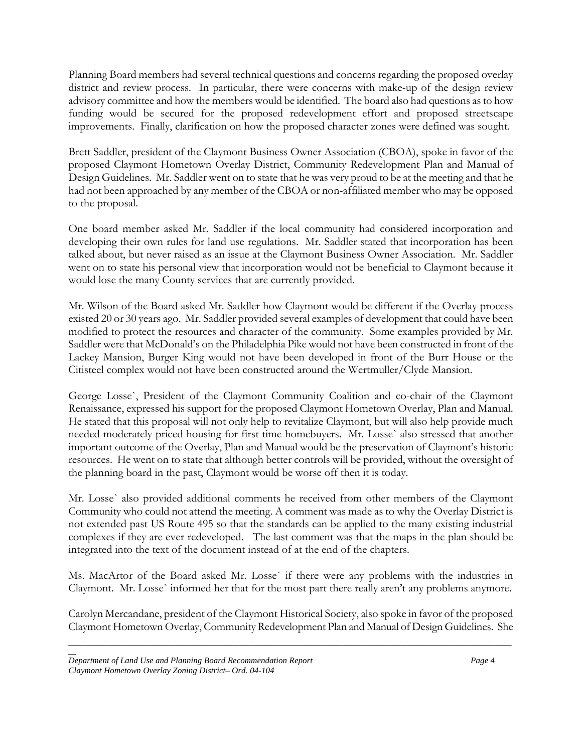Planning Board members had several technical questions and concerns regarding the proposed overlay district and review process. In particular, there were concerns with make-up of the design review advisory committee and how the members would be identified. The board also had questions as to how funding would be secured for the proposed redevelopment effort and proposed streetscape improvements. Finally, clarification on how the proposed character zones were defined was sought.

Brett Saddler, president of the Claymont Business Owner Association (CBOA), spoke in favor of the proposed Claymont Hometown Overlay District, Community Redevelopment Plan and Manual of Design Guidelines. Mr. Saddler went on to state that he was very proud to be at the meeting and that he had not been approached by any member of the CBOA or non-affiliated member who may be opposed to the proposal.

One board member asked Mr. Saddler if the local community had considered incorporation and developing their own rules for land use regulations. Mr. Saddler stated that incorporation has been talked about, but never raised as an issue at the Claymont Business Owner Association. Mr. Saddler went on to state his personal view that incorporation would not be beneficial to Claymont because it would lose the many County services that are currently provided.

Mr. Wilson of the Board asked Mr. Saddler how Claymont would be different if the Overlay process existed 20 or 30 years ago. Mr. Saddler provided several examples of development that could have been modified to protect the resources and character of the community. Some examples provided by Mr. Saddler were that McDonald's on the Philadelphia Pike would not have been constructed in front of the Lackey Mansion, Burger King would not have been developed in front of the Burr House or the Citisteel complex would not have been constructed around the Wertmuller/Clyde Mansion.

George Losse`, President of the Claymont Community Coalition and co-chair of the Claymont Renaissance, expressed his support for the proposed Claymont Hometown Overlay, Plan and Manual. He stated that this proposal will not only help to revitalize Claymont, but will also help provide much needed moderately priced housing for first time homebuyers. Mr. Losse` also stressed that another important outcome of the Overlay, Plan and Manual would be the preservation of Claymont's historic resources. He went on to state that although better controls will be provided, without the oversight of the planning board in the past, Claymont would be worse off then it is today.

Mr. Losse` also provided additional comments he received from other members of the Claymont Community who could not attend the meeting. A comment was made as to why the Overlay District is not extended past US Route 495 so that the standards can be applied to the many existing industrial complexes if they are ever redeveloped. The last comment was that the maps in the plan should be integrated into the text of the document instead of at the end of the chapters.

Ms. MacArtor of the Board asked Mr. Losse` if there were any problems with the industries in Claymont. Mr. Losse` informed her that for the most part there really aren't any problems anymore.

Carolyn Mercandane, president of the Claymont Historical Society, also spoke in favor of the proposed Claymont Hometown Overlay, Community Redevelopment Plan and Manual of Design Guidelines. She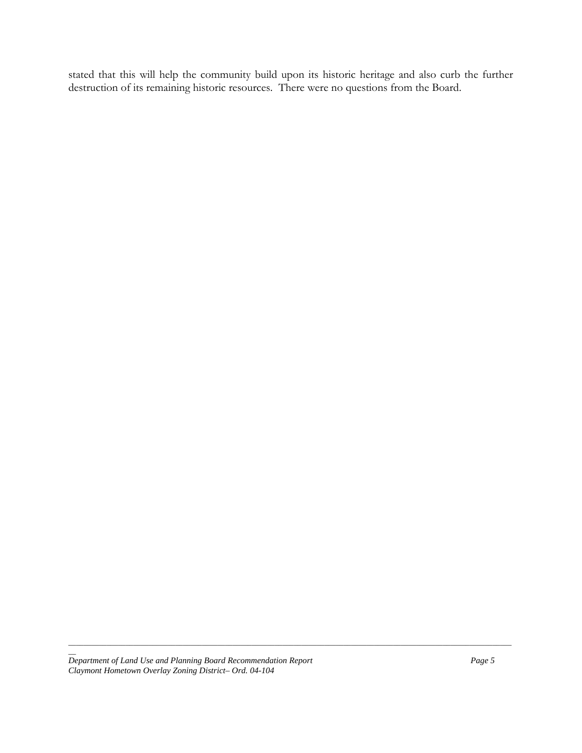stated that this will help the community build upon its historic heritage and also curb the further destruction of its remaining historic resources. There were no questions from the Board.

 $\overline{a}$ *Department of Land Use and Planning Board Recommendation Report Page 5 Claymont Hometown Overlay Zoning District– Ord. 04-104*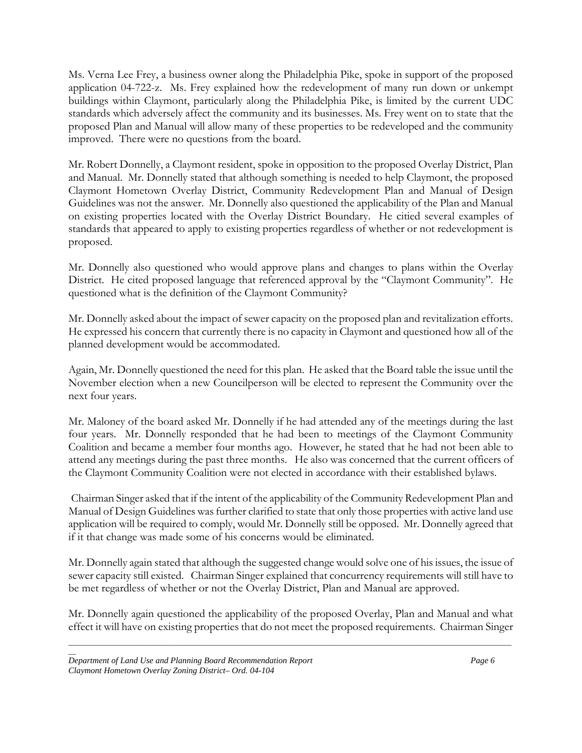Ms. Verna Lee Frey, a business owner along the Philadelphia Pike, spoke in support of the proposed application 04-722-z. Ms. Frey explained how the redevelopment of many run down or unkempt buildings within Claymont, particularly along the Philadelphia Pike, is limited by the current UDC standards which adversely affect the community and its businesses. Ms. Frey went on to state that the proposed Plan and Manual will allow many of these properties to be redeveloped and the community improved. There were no questions from the board.

Mr. Robert Donnelly, a Claymont resident, spoke in opposition to the proposed Overlay District, Plan and Manual. Mr. Donnelly stated that although something is needed to help Claymont, the proposed Claymont Hometown Overlay District, Community Redevelopment Plan and Manual of Design Guidelines was not the answer. Mr. Donnelly also questioned the applicability of the Plan and Manual on existing properties located with the Overlay District Boundary. He citied several examples of standards that appeared to apply to existing properties regardless of whether or not redevelopment is proposed.

Mr. Donnelly also questioned who would approve plans and changes to plans within the Overlay District. He cited proposed language that referenced approval by the "Claymont Community". He questioned what is the definition of the Claymont Community?

Mr. Donnelly asked about the impact of sewer capacity on the proposed plan and revitalization efforts. He expressed his concern that currently there is no capacity in Claymont and questioned how all of the planned development would be accommodated.

Again, Mr. Donnelly questioned the need for this plan. He asked that the Board table the issue until the November election when a new Councilperson will be elected to represent the Community over the next four years.

Mr. Maloney of the board asked Mr. Donnelly if he had attended any of the meetings during the last four years. Mr. Donnelly responded that he had been to meetings of the Claymont Community Coalition and became a member four months ago. However, he stated that he had not been able to attend any meetings during the past three months. He also was concerned that the current officers of the Claymont Community Coalition were not elected in accordance with their established bylaws.

 Chairman Singer asked that if the intent of the applicability of the Community Redevelopment Plan and Manual of Design Guidelines was further clarified to state that only those properties with active land use application will be required to comply, would Mr. Donnelly still be opposed. Mr. Donnelly agreed that if it that change was made some of his concerns would be eliminated.

Mr. Donnelly again stated that although the suggested change would solve one of his issues, the issue of sewer capacity still existed. Chairman Singer explained that concurrency requirements will still have to be met regardless of whether or not the Overlay District, Plan and Manual are approved.

Mr. Donnelly again questioned the applicability of the proposed Overlay, Plan and Manual and what effect it will have on existing properties that do not meet the proposed requirements. Chairman Singer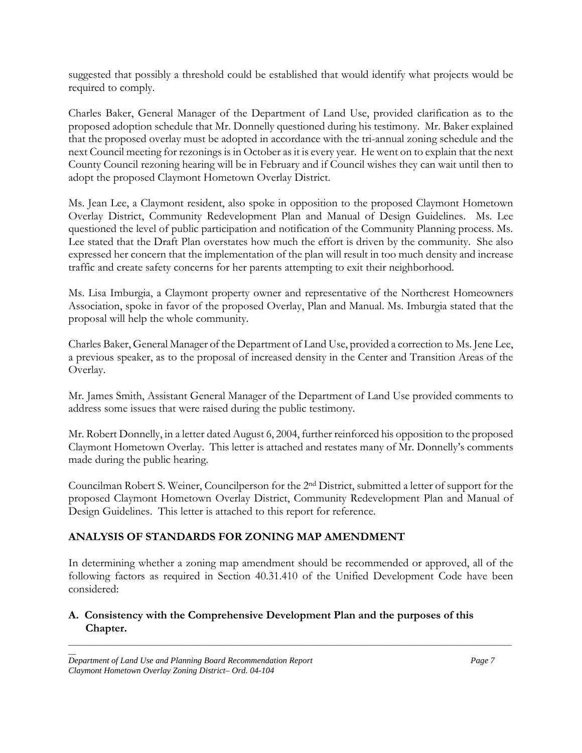suggested that possibly a threshold could be established that would identify what projects would be required to comply.

Charles Baker, General Manager of the Department of Land Use, provided clarification as to the proposed adoption schedule that Mr. Donnelly questioned during his testimony. Mr. Baker explained that the proposed overlay must be adopted in accordance with the tri-annual zoning schedule and the next Council meeting for rezonings is in October as it is every year. He went on to explain that the next County Council rezoning hearing will be in February and if Council wishes they can wait until then to adopt the proposed Claymont Hometown Overlay District.

Ms. Jean Lee, a Claymont resident, also spoke in opposition to the proposed Claymont Hometown Overlay District, Community Redevelopment Plan and Manual of Design Guidelines. Ms. Lee questioned the level of public participation and notification of the Community Planning process. Ms. Lee stated that the Draft Plan overstates how much the effort is driven by the community. She also expressed her concern that the implementation of the plan will result in too much density and increase traffic and create safety concerns for her parents attempting to exit their neighborhood.

Ms. Lisa Imburgia, a Claymont property owner and representative of the Northcrest Homeowners Association, spoke in favor of the proposed Overlay, Plan and Manual. Ms. Imburgia stated that the proposal will help the whole community.

Charles Baker, General Manager of the Department of Land Use, provided a correction to Ms. Jene Lee, a previous speaker, as to the proposal of increased density in the Center and Transition Areas of the Overlay.

Mr. James Smith, Assistant General Manager of the Department of Land Use provided comments to address some issues that were raised during the public testimony.

Mr. Robert Donnelly, in a letter dated August 6, 2004, further reinforced his opposition to the proposed Claymont Hometown Overlay. This letter is attached and restates many of Mr. Donnelly's comments made during the public hearing.

Councilman Robert S. Weiner, Councilperson for the 2nd District, submitted a letter of support for the proposed Claymont Hometown Overlay District, Community Redevelopment Plan and Manual of Design Guidelines. This letter is attached to this report for reference.

#### **ANALYSIS OF STANDARDS FOR ZONING MAP AMENDMENT**

In determining whether a zoning map amendment should be recommended or approved, all of the following factors as required in Section 40.31.410 of the Unified Development Code have been considered:

\_\_\_\_\_\_\_\_\_\_\_\_\_\_\_\_\_\_\_\_\_\_\_\_\_\_\_\_\_\_\_\_\_\_\_\_\_\_\_\_\_\_\_\_\_\_\_\_\_\_\_\_\_\_\_\_\_\_\_\_\_\_\_\_\_\_\_\_\_\_\_\_\_\_\_\_\_\_\_\_\_\_\_\_\_\_\_\_\_\_\_\_\_\_\_\_\_\_\_\_\_\_\_\_\_\_\_\_\_\_\_\_\_\_\_\_

#### **A. Consistency with the Comprehensive Development Plan and the purposes of this Chapter.**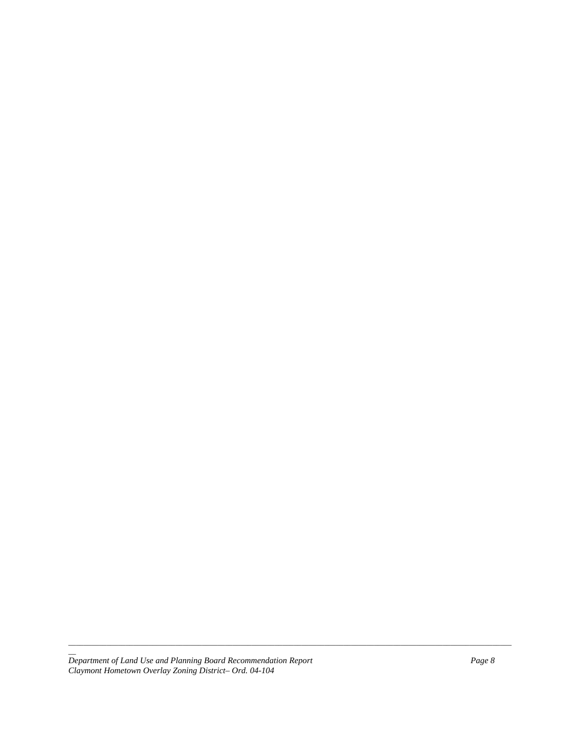$\overline{a}$ 

*Department of Land Use and Planning Board Recommendation Report Page 8 Claymont Hometown Overlay Zoning District– Ord. 04-104*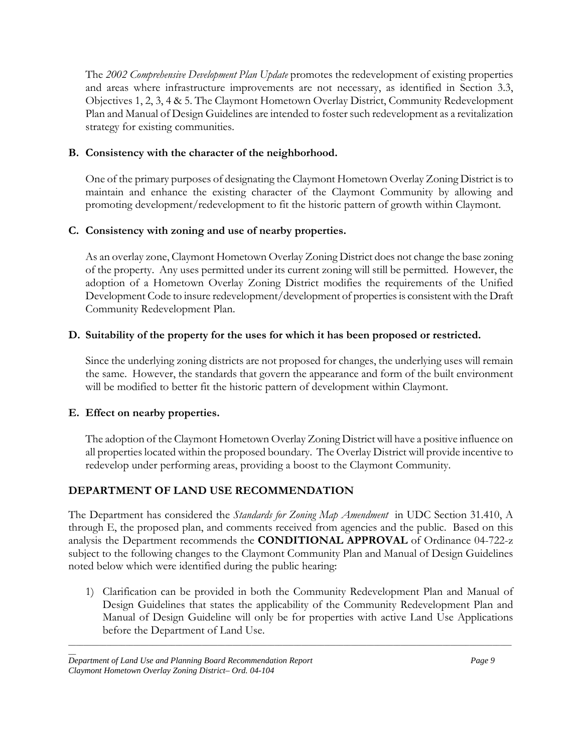The *2002 Comprehensive Development Plan Update* promotes the redevelopment of existing properties and areas where infrastructure improvements are not necessary, as identified in Section 3.3, Objectives 1, 2, 3, 4 & 5. The Claymont Hometown Overlay District, Community Redevelopment Plan and Manual of Design Guidelines are intended to foster such redevelopment as a revitalization strategy for existing communities.

#### **B. Consistency with the character of the neighborhood.**

One of the primary purposes of designating the Claymont Hometown Overlay Zoning District is to maintain and enhance the existing character of the Claymont Community by allowing and promoting development/redevelopment to fit the historic pattern of growth within Claymont.

### **C. Consistency with zoning and use of nearby properties.**

As an overlay zone, Claymont Hometown Overlay Zoning District does not change the base zoning of the property. Any uses permitted under its current zoning will still be permitted. However, the adoption of a Hometown Overlay Zoning District modifies the requirements of the Unified Development Code to insure redevelopment/development of properties is consistent with the Draft Community Redevelopment Plan.

# **D. Suitability of the property for the uses for which it has been proposed or restricted.**

Since the underlying zoning districts are not proposed for changes, the underlying uses will remain the same. However, the standards that govern the appearance and form of the built environment will be modified to better fit the historic pattern of development within Claymont.

# **E. Effect on nearby properties.**

The adoption of the Claymont Hometown Overlay Zoning District will have a positive influence on all properties located within the proposed boundary. The Overlay District will provide incentive to redevelop under performing areas, providing a boost to the Claymont Community.

# **DEPARTMENT OF LAND USE RECOMMENDATION**

The Department has considered the *Standards for Zoning Map Amendment* in UDC Section 31.410, A through E, the proposed plan, and comments received from agencies and the public. Based on this analysis the Department recommends the **CONDITIONAL APPROVAL** of Ordinance 04-722-z subject to the following changes to the Claymont Community Plan and Manual of Design Guidelines noted below which were identified during the public hearing:

1) Clarification can be provided in both the Community Redevelopment Plan and Manual of Design Guidelines that states the applicability of the Community Redevelopment Plan and Manual of Design Guideline will only be for properties with active Land Use Applications before the Department of Land Use.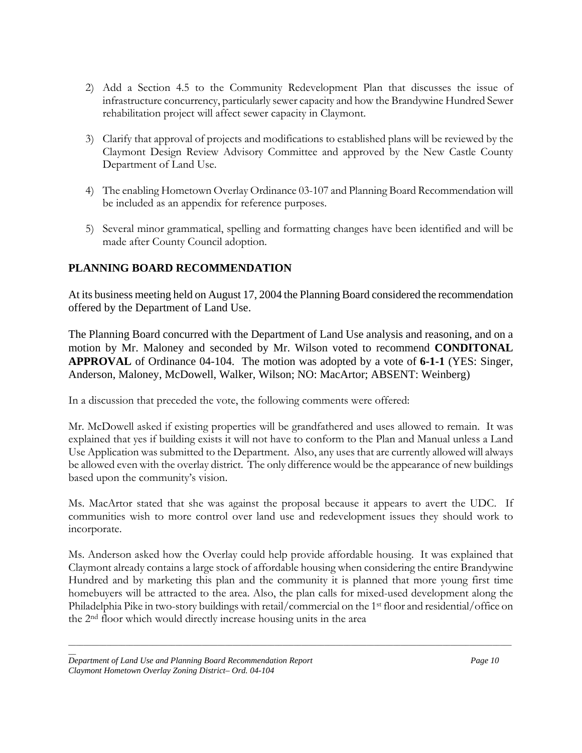- 2) Add a Section 4.5 to the Community Redevelopment Plan that discusses the issue of infrastructure concurrency, particularly sewer capacity and how the Brandywine Hundred Sewer rehabilitation project will affect sewer capacity in Claymont.
- 3) Clarify that approval of projects and modifications to established plans will be reviewed by the Claymont Design Review Advisory Committee and approved by the New Castle County Department of Land Use.
- 4) The enabling Hometown Overlay Ordinance 03-107 and Planning Board Recommendation will be included as an appendix for reference purposes.
- 5) Several minor grammatical, spelling and formatting changes have been identified and will be made after County Council adoption.

### **PLANNING BOARD RECOMMENDATION**

At its business meeting held on August 17, 2004 the Planning Board considered the recommendation offered by the Department of Land Use.

The Planning Board concurred with the Department of Land Use analysis and reasoning, and on a motion by Mr. Maloney and seconded by Mr. Wilson voted to recommend **CONDITONAL APPROVAL** of Ordinance 04-104. The motion was adopted by a vote of **6-1-1** (YES: Singer, Anderson, Maloney, McDowell, Walker, Wilson; NO: MacArtor; ABSENT: Weinberg)

In a discussion that preceded the vote, the following comments were offered:

Mr. McDowell asked if existing properties will be grandfathered and uses allowed to remain. It was explained that yes if building exists it will not have to conform to the Plan and Manual unless a Land Use Application was submitted to the Department. Also, any uses that are currently allowed will always be allowed even with the overlay district. The only difference would be the appearance of new buildings based upon the community's vision.

Ms. MacArtor stated that she was against the proposal because it appears to avert the UDC. If communities wish to more control over land use and redevelopment issues they should work to incorporate.

Ms. Anderson asked how the Overlay could help provide affordable housing. It was explained that Claymont already contains a large stock of affordable housing when considering the entire Brandywine Hundred and by marketing this plan and the community it is planned that more young first time homebuyers will be attracted to the area. Also, the plan calls for mixed-used development along the Philadelphia Pike in two-story buildings with retail/commercial on the 1<sup>st</sup> floor and residential/office on the 2nd floor which would directly increase housing units in the area

 $\overline{a}$ *Department of Land Use and Planning Board Recommendation Report Page 10 Claymont Hometown Overlay Zoning District– Ord. 04-104*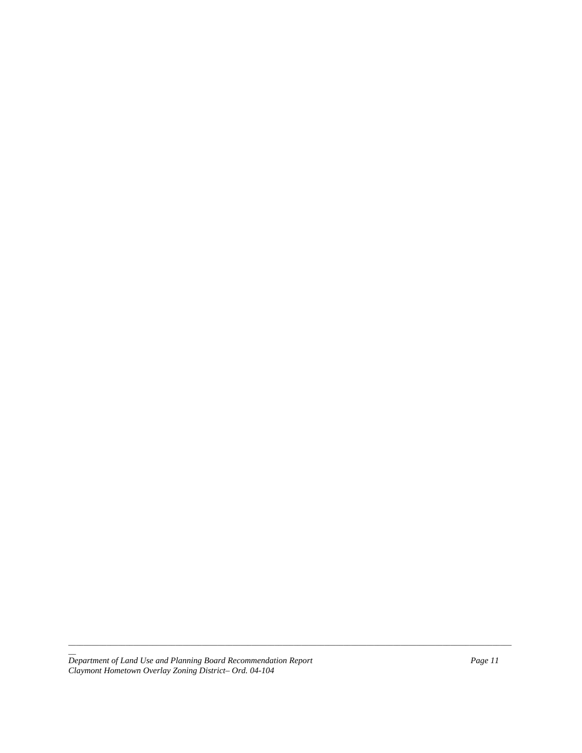$\overline{a}$ 

*Department of Land Use and Planning Board Recommendation Report Page 11 Claymont Hometown Overlay Zoning District– Ord. 04-104*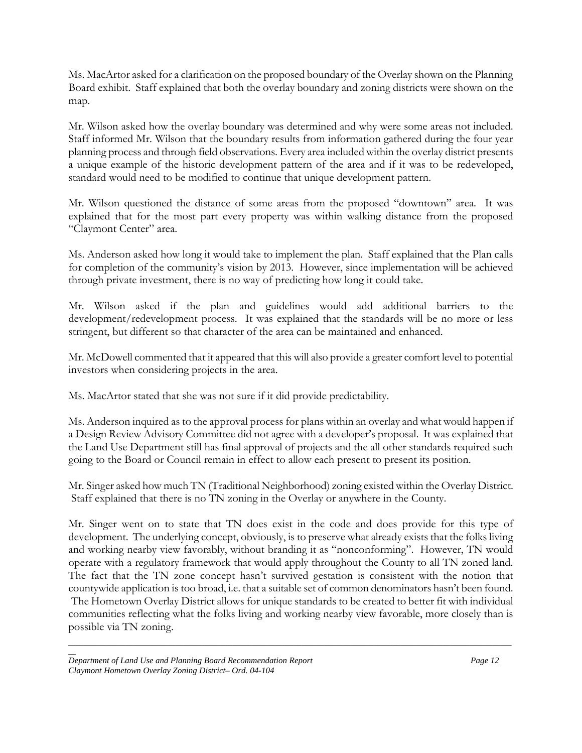Ms. MacArtor asked for a clarification on the proposed boundary of the Overlay shown on the Planning Board exhibit. Staff explained that both the overlay boundary and zoning districts were shown on the map.

Mr. Wilson asked how the overlay boundary was determined and why were some areas not included. Staff informed Mr. Wilson that the boundary results from information gathered during the four year planning process and through field observations. Every area included within the overlay district presents a unique example of the historic development pattern of the area and if it was to be redeveloped, standard would need to be modified to continue that unique development pattern.

Mr. Wilson questioned the distance of some areas from the proposed "downtown" area. It was explained that for the most part every property was within walking distance from the proposed "Claymont Center" area.

Ms. Anderson asked how long it would take to implement the plan. Staff explained that the Plan calls for completion of the community's vision by 2013. However, since implementation will be achieved through private investment, there is no way of predicting how long it could take.

Mr. Wilson asked if the plan and guidelines would add additional barriers to the development/redevelopment process. It was explained that the standards will be no more or less stringent, but different so that character of the area can be maintained and enhanced.

Mr. McDowell commented that it appeared that this will also provide a greater comfort level to potential investors when considering projects in the area.

Ms. MacArtor stated that she was not sure if it did provide predictability.

Ms. Anderson inquired as to the approval process for plans within an overlay and what would happen if a Design Review Advisory Committee did not agree with a developer's proposal. It was explained that the Land Use Department still has final approval of projects and the all other standards required such going to the Board or Council remain in effect to allow each present to present its position.

Mr. Singer asked how much TN (Traditional Neighborhood) zoning existed within the Overlay District. Staff explained that there is no TN zoning in the Overlay or anywhere in the County.

Mr. Singer went on to state that TN does exist in the code and does provide for this type of development. The underlying concept, obviously, is to preserve what already exists that the folks living and working nearby view favorably, without branding it as "nonconforming". However, TN would operate with a regulatory framework that would apply throughout the County to all TN zoned land. The fact that the TN zone concept hasn't survived gestation is consistent with the notion that countywide application is too broad, i.e. that a suitable set of common denominators hasn't been found. The Hometown Overlay District allows for unique standards to be created to better fit with individual communities reflecting what the folks living and working nearby view favorable, more closely than is possible via TN zoning.